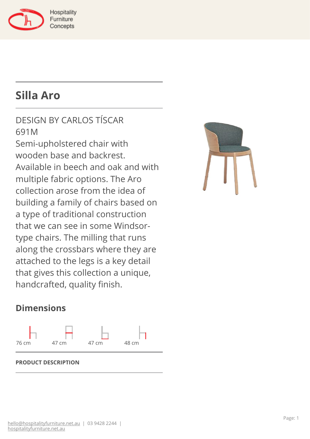

# **Silla Aro**

### DESIGN BY CARLOS TÍSCAR 691M

Semi-upholstered chair with wooden base and backrest. Available in beech and oak and with multiple fabric options. The Aro collection arose from the idea of building a family of chairs based on a type of traditional construction that we can see in some Windsortype chairs. The milling that runs along the crossbars where they are attached to the legs is a key detail that gives this collection a unique, handcrafted, quality finish.



## **Dimensions**



**PRODUCT DESCRIPTION**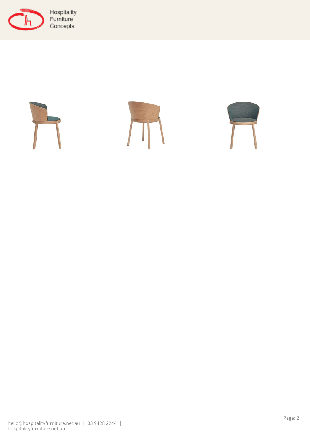

Hospitality<br>Furniture Concepts